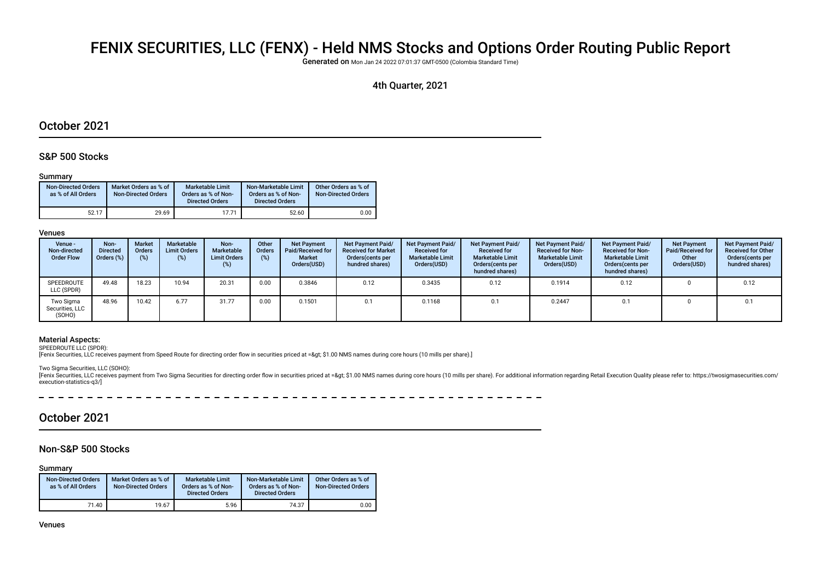# FENIX SECURITIES, LLC (FENX) - Held NMS Stocks and Options Order Routing Public Report

Generated on Mon Jan 24 2022 07:01:37 GMT-0500 (Colombia Standard Time)

## 4th Quarter, 2021

# October 2021

### S&P 500 Stocks

#### Summary

| <b>Non-Directed Orders</b><br>as % of All Orders | Market Orders as % of<br><b>Non-Directed Orders</b> | <b>Marketable Limit</b><br>Orders as % of Non-<br><b>Directed Orders</b> | Non-Marketable Limit<br>Orders as % of Non-<br><b>Directed Orders</b> | Other Orders as % of<br><b>Non-Directed Orders</b> |
|--------------------------------------------------|-----------------------------------------------------|--------------------------------------------------------------------------|-----------------------------------------------------------------------|----------------------------------------------------|
| 52.17                                            | 29.69                                               | 17.71                                                                    | 52.60                                                                 | 0.00                                               |

#### Venues

| Venue -<br>Non-directed<br><b>Order Flow</b> | Non-<br><b>Directed</b><br>Orders (%) | <b>Market</b><br><b>Orders</b><br>(%) | <b>Marketable</b><br><b>Limit Orders</b><br>$(\%)$ | Non-<br>Marketable<br><b>Limit Orders</b> | Other<br><b>Orders</b> | <b>Net Payment</b><br>Paid/Received for<br>Market<br>Orders(USD) | <b>Net Payment Paid/</b><br><b>Received for Market</b><br>Orders (cents per<br>hundred shares) | <b>Net Payment Paid/</b><br><b>Received for</b><br><b>Marketable Limit</b><br>Orders(USD) | Net Payment Paid/<br><b>Received for</b><br><b>Marketable Limit</b><br>Orders (cents per<br>hundred shares) | <b>Net Payment Paid/</b><br><b>Received for Non-</b><br><b>Marketable Limit</b><br>Orders(USD) | <b>Net Payment Paid/</b><br><b>Received for Non-</b><br><b>Marketable Limit</b><br>Orders(cents per<br>hundred shares) | <b>Net Payment</b><br><b>Paid/Received for</b><br>Other<br>Orders(USD) | <b>Net Payment Paid/</b><br><b>Received for Other</b><br>Orders(cents per<br>hundred shares) |
|----------------------------------------------|---------------------------------------|---------------------------------------|----------------------------------------------------|-------------------------------------------|------------------------|------------------------------------------------------------------|------------------------------------------------------------------------------------------------|-------------------------------------------------------------------------------------------|-------------------------------------------------------------------------------------------------------------|------------------------------------------------------------------------------------------------|------------------------------------------------------------------------------------------------------------------------|------------------------------------------------------------------------|----------------------------------------------------------------------------------------------|
| SPEEDROUTE<br>LLC (SPDR)                     | 49.48                                 | 18.23                                 | 10.94                                              | 20.31                                     | 0.00                   | 0.3846                                                           | 0.12                                                                                           | 0.3435                                                                                    | 0.12                                                                                                        | 0.1914                                                                                         | 0.12                                                                                                                   |                                                                        | 0.12                                                                                         |
| Two Sigma<br>Securities, LLC<br>(SOHO)       | 48.96                                 | 10.42                                 | 6.77                                               | 31.77                                     | 0.00                   | 0.1501                                                           | 0.1                                                                                            | 0.1168                                                                                    | 0.1                                                                                                         | 0.2447                                                                                         | 0.1                                                                                                                    |                                                                        | 0.1                                                                                          |

### Material Aspects:

SPEEDROUTE LLC (SPDR):

[Fenix Securities, LLC receives payment from Speed Route for directing order flow in securities priced at => \$1.00 NMS names during core hours (10 mills per share).]

Two Sigma Securities, LLC (SOHO):

[Fenix Securities, LLC receives payment from Two Sigma Securities for directing order flow in securities priced at => \$1.00 NMS names during core hours (10 mills per share). For additional information regarding Retail E execution-statistics-q3/]

# October 2021

### Non-S&P 500 Stocks

Summary

| <b>Non-Directed Orders</b><br>as % of All Orders | Market Orders as % of<br><b>Non-Directed Orders</b> | <b>Marketable Limit</b><br>Orders as % of Non-<br><b>Directed Orders</b> | Non-Marketable Limit<br>Orders as % of Non-<br><b>Directed Orders</b> | Other Orders as % of<br><b>Non-Directed Orders</b> |
|--------------------------------------------------|-----------------------------------------------------|--------------------------------------------------------------------------|-----------------------------------------------------------------------|----------------------------------------------------|
| 71.40                                            | 19.67                                               | 5.96                                                                     | 74.37                                                                 | 0.00                                               |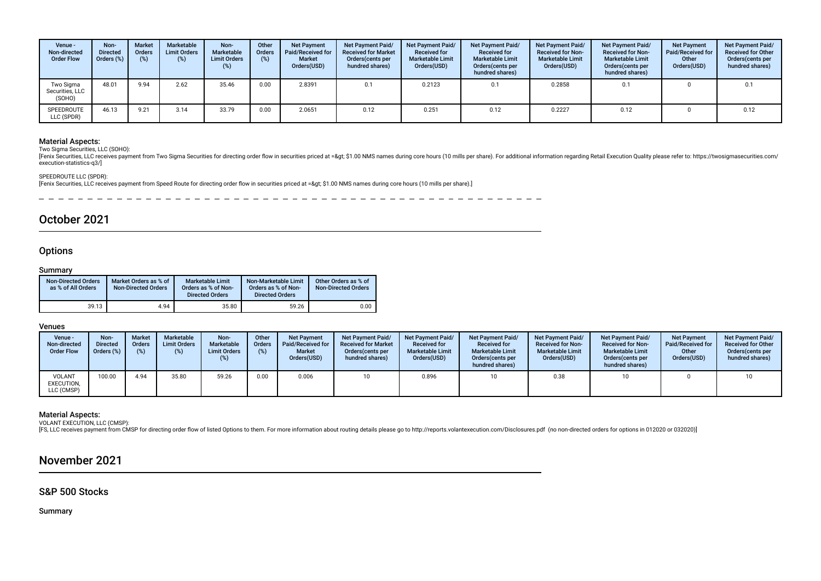| Venue -<br>Non-directed<br><b>Order Flow</b> | Non-<br><b>Directed</b><br>Orders (%) | <b>Market</b><br><b>Orders</b><br>(%) | Marketable<br><b>Limit Orders</b><br>(%) | Non-<br><b>Marketable</b><br><b>Limit Orders</b><br>(%) | Other<br><b>Orders</b> | <b>Net Payment</b><br>Paid/Received for<br><b>Market</b><br>Orders(USD) | <b>Net Payment Paid/</b><br><b>Received for Market</b><br>Orders(cents per<br>hundred shares) | Net Payment Paid/<br><b>Received for</b><br><b>Marketable Limit</b><br>Orders(USD) | Net Payment Paid/<br><b>Received for</b><br><b>Marketable Limit</b><br>Orders (cents per<br>hundred shares) | <b>Net Payment Paid/</b><br><b>Received for Non-</b><br><b>Marketable Limit</b><br>Orders(USD) | <b>Net Payment Paid/</b><br><b>Received for Non-</b><br><b>Marketable Limit</b><br>Orders (cents per<br>hundred shares) | <b>Net Payment</b><br><b>Paid/Received for</b><br>Other<br>Orders(USD) | <b>Net Payment Paid/</b><br><b>Received for Other</b><br>Orders(cents per<br>hundred shares) |
|----------------------------------------------|---------------------------------------|---------------------------------------|------------------------------------------|---------------------------------------------------------|------------------------|-------------------------------------------------------------------------|-----------------------------------------------------------------------------------------------|------------------------------------------------------------------------------------|-------------------------------------------------------------------------------------------------------------|------------------------------------------------------------------------------------------------|-------------------------------------------------------------------------------------------------------------------------|------------------------------------------------------------------------|----------------------------------------------------------------------------------------------|
| Two Sigma<br>Securities, LLC<br>(SOHO)       | 48.01                                 | 9.94                                  | 2.62                                     | 35.46                                                   | 0.00                   | 2.8391                                                                  | 0.1                                                                                           | 0.2123                                                                             |                                                                                                             | 0.2858                                                                                         | 0.1                                                                                                                     |                                                                        | 0.1                                                                                          |
| SPEEDROUTE<br>LLC (SPDR)                     | 46.13                                 | 9.21                                  | 3.14                                     | 33.79                                                   | 0.00                   | 2.0651                                                                  | 0.12                                                                                          | 0.251                                                                              | 0.12                                                                                                        | 0.2227                                                                                         | 0.12                                                                                                                    |                                                                        | 0.12                                                                                         |

#### Material Aspects:

Two Sigma Securities, LLC (SOHO):

[Fenix Securities, LLC receives payment from Two Sigma Securities for directing order flow in securities priced at => \$1.00 NMS names during core hours (10 mills per share). For additional information regarding Retail E execution-statistics-q3/]

 $\frac{1}{2}$ 

#### SPEEDROUTE LLC (SPDR):

[Fenix Securities, LLC receives payment from Speed Route for directing order flow in securities priced at => \$1.00 NMS names during core hours (10 mills per share).]

# October 2021

### **Options**

 $\overline{\phantom{0}}$ 

#### Summary

| <b>Non-Directed Orders</b><br>as % of All Orders | Market Orders as % of<br><b>Non-Directed Orders</b> | <b>Marketable Limit</b><br>Orders as % of Non-<br><b>Directed Orders</b> | Non-Marketable Limit<br>Orders as % of Non-<br><b>Directed Orders</b> | Other Orders as % of<br><b>Non-Directed Orders</b> |
|--------------------------------------------------|-----------------------------------------------------|--------------------------------------------------------------------------|-----------------------------------------------------------------------|----------------------------------------------------|
| 39.13                                            | 4.94                                                | 35.80                                                                    | 59.26                                                                 | 0.00                                               |

#### Venues

| Venue -<br>Non-directed<br><b>Order Flow</b> | Non-<br>Directed<br>Orders (%) | <b>Market</b><br>Orders<br>(%) | <b>Marketable</b><br><b>Limit Orders</b><br>$(\%)$ | Non-<br><b>Marketable</b><br><b>Limit Orders</b> | Other<br>Orders<br>(%) | <b>Net Payment</b><br><b>Paid/Received for</b><br><b>Market</b><br>Orders(USD) | <b>Net Payment Paid/</b><br><b>Received for Market</b><br>Orders(cents per<br>hundred shares) | <b>Net Payment Paid/</b><br><b>Received for</b><br><b>Marketable Limit</b><br>Orders(USD) | <b>Net Payment Paid/</b><br><b>Received for</b><br><b>Marketable Limit</b><br>Orders(cents per<br>hundred shares) | <b>Net Payment Paid/</b><br><b>Received for Non-</b><br><b>Marketable Limit</b><br>Orders(USD) | <b>Net Payment Paid/</b><br><b>Received for Non-</b><br><b>Marketable Limit</b><br>Orders (cents per<br>hundred shares) | <b>Net Payment</b><br>Paid/Received for<br>Other<br>Orders(USD) | Net Payment Paid/<br><b>Received for Other</b><br>Orders(cents per<br>hundred shares) |
|----------------------------------------------|--------------------------------|--------------------------------|----------------------------------------------------|--------------------------------------------------|------------------------|--------------------------------------------------------------------------------|-----------------------------------------------------------------------------------------------|-------------------------------------------------------------------------------------------|-------------------------------------------------------------------------------------------------------------------|------------------------------------------------------------------------------------------------|-------------------------------------------------------------------------------------------------------------------------|-----------------------------------------------------------------|---------------------------------------------------------------------------------------|
| VOLANT<br>EXECUTION,<br>LLC (CMSP)           | 100.00                         | 4.94                           | 35.80                                              | 59.26                                            | 0.00                   | 0.006                                                                          |                                                                                               | 0.896                                                                                     |                                                                                                                   | 0.38                                                                                           |                                                                                                                         |                                                                 |                                                                                       |

#### Material Aspects:

VOLANT EXECUTION, LLC (CMSP):

[FS, LLC receives payment from CMSP for directing order flow of listed Options to them. For more information about routing details please go to http://reports.volantexecution.com/Disclosures.pdf (no non-directed orders for

# November 2021

# S&P 500 Stocks

Summary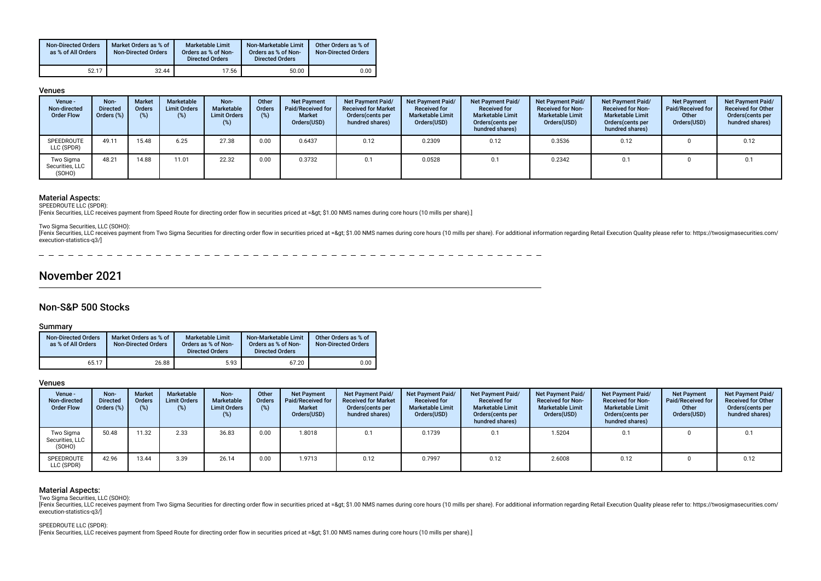| <b>Non-Directed Orders</b><br>as % of All Orders | Market Orders as % of<br><b>Non-Directed Orders</b> | Marketable Limit<br>Orders as % of Non-<br><b>Directed Orders</b> | Non-Marketable Limit<br>Orders as % of Non-<br><b>Directed Orders</b> | Other Orders as % of<br><b>Non-Directed Orders</b> |
|--------------------------------------------------|-----------------------------------------------------|-------------------------------------------------------------------|-----------------------------------------------------------------------|----------------------------------------------------|
| 52.17                                            | 32.44                                               | 17.56                                                             | 50.00                                                                 | 0.00                                               |

#### Venues

| Venue -<br>Non-directed<br><b>Order Flow</b> | Non-<br><b>Directed</b><br>Orders (%) | <b>Market</b><br><b>Orders</b><br>(%) | Marketable<br><b>Limit Orders</b><br>(%) | Non-<br>Marketable<br><b>Limit Orders</b> | Other<br>Orders | <b>Net Payment</b><br>Paid/Received for<br><b>Market</b><br>Orders(USD) | <b>Net Payment Paid/</b><br><b>Received for Market</b><br>Orders (cents per<br>hundred shares) | <b>Net Payment Paid/</b><br><b>Received for</b><br><b>Marketable Limit</b><br>Orders(USD) | Net Payment Paid/<br><b>Received for</b><br><b>Marketable Limit</b><br>Orders (cents per<br>hundred shares) | <b>Net Payment Paid/</b><br><b>Received for Non-</b><br><b>Marketable Limit</b><br>Orders(USD) | Net Payment Paid/<br><b>Received for Non-</b><br><b>Marketable Limit</b><br>Orders(cents per<br>hundred shares) | <b>Net Payment</b><br>Paid/Received for<br>Other<br>Orders(USD) | <b>Net Payment Paid/</b><br><b>Received for Other</b><br>Orders (cents per<br>hundred shares) |
|----------------------------------------------|---------------------------------------|---------------------------------------|------------------------------------------|-------------------------------------------|-----------------|-------------------------------------------------------------------------|------------------------------------------------------------------------------------------------|-------------------------------------------------------------------------------------------|-------------------------------------------------------------------------------------------------------------|------------------------------------------------------------------------------------------------|-----------------------------------------------------------------------------------------------------------------|-----------------------------------------------------------------|-----------------------------------------------------------------------------------------------|
| SPEEDROUTE<br>LLC (SPDR)                     | 49.17                                 | 15.48                                 | 6.25                                     | 27.38                                     | 0.00            | 0.6437                                                                  | 0.12                                                                                           | 0.2309                                                                                    | 0.12                                                                                                        | 0.3536                                                                                         | 0.12                                                                                                            |                                                                 | 0.12                                                                                          |
| Two Sigma<br>Securities, LLC<br>(SOHO)       | 48.27                                 | 14.88                                 | 11.01                                    | 22.32                                     | 0.00            | 0.3732                                                                  | 0.1                                                                                            | 0.0528                                                                                    | 0.1                                                                                                         | 0.2342                                                                                         | 0.1                                                                                                             |                                                                 | 0.1                                                                                           |

### Material Aspects:

SPEEDROUTE LLC (SPDR):

[Fenix Securities, LLC receives payment from Speed Route for directing order fow in securities priced at => \$1.00 NMS names during core hours (10 mills per share).]

Two Sigma Securities, LLC (SOHO):

[Fenix Securities, LLC receives payment from Two Sigma Securities for directing order flow in securities priced at => \$1.00 NMS names during core hours (10 mills per share). For additional information regarding Retail E execution-statistics-q3/]

 $\frac{1}{2}$  =  $\frac{1}{2}$  =  $\frac{1}{2}$  =  $\frac{1}{2}$  =  $\frac{1}{2}$  =  $\frac{1}{2}$  =  $\frac{1}{2}$  =  $\frac{1}{2}$  $\frac{1}{2}$  and  $\frac{1}{2}$  and  $\frac{1}{2}$  and  $\frac{1}{2}$  and  $\frac{1}{2}$ 

# November 2021

### Non-S&P 500 Stocks

#### Summary

| <b>Non-Directed Orders</b><br>as % of All Orders | Market Orders as % of<br><b>Non-Directed Orders</b> | <b>Marketable Limit</b><br>Orders as % of Non-<br><b>Directed Orders</b> | Non-Marketable Limit<br>Orders as % of Non-<br><b>Directed Orders</b> | Other Orders as % of<br><b>Non-Directed Orders</b> |
|--------------------------------------------------|-----------------------------------------------------|--------------------------------------------------------------------------|-----------------------------------------------------------------------|----------------------------------------------------|
| 65.17                                            | 26.88                                               | 5.93                                                                     | 67.20                                                                 | 0.00                                               |

#### Venues

| Venue -<br>Non-directed<br><b>Order Flow</b> | Non-<br><b>Directed</b><br>Orders (%) | <b>Market</b><br><b>Orders</b><br>(%) | Marketable<br><b>Limit Orders</b><br>(%) | Non-<br>Marketable<br><b>Limit Orders</b> | Other<br><b>Orders</b> | <b>Net Payment</b><br>Paid/Received for<br><b>Market</b><br>Orders(USD) | Net Payment Paid/<br><b>Received for Market</b><br>Orders (cents per<br>hundred shares) | <b>Net Payment Paid/</b><br><b>Received for</b><br><b>Marketable Limit</b><br>Orders(USD) | Net Payment Paid/<br><b>Received for</b><br><b>Marketable Limit</b><br>Orders (cents per<br>hundred shares) | Net Payment Paid/<br><b>Received for Non-</b><br><b>Marketable Limit</b><br>Orders(USD) | <b>Net Payment Paid/</b><br><b>Received for Non-</b><br><b>Marketable Limit</b><br>Orders(cents per<br>hundred shares) | <b>Net Payment</b><br>Paid/Received for<br>Other<br>Orders(USD) | <b>Net Payment Paid/</b><br><b>Received for Other</b><br>Orders (cents per<br>hundred shares) |
|----------------------------------------------|---------------------------------------|---------------------------------------|------------------------------------------|-------------------------------------------|------------------------|-------------------------------------------------------------------------|-----------------------------------------------------------------------------------------|-------------------------------------------------------------------------------------------|-------------------------------------------------------------------------------------------------------------|-----------------------------------------------------------------------------------------|------------------------------------------------------------------------------------------------------------------------|-----------------------------------------------------------------|-----------------------------------------------------------------------------------------------|
| Two Sigma<br>Securities, LLC<br>(SOHO)       | 50.48                                 | 11.32                                 | 2.33                                     | 36.83                                     | 0.00                   | 1.8018                                                                  | 0.1                                                                                     | 0.1739                                                                                    | 0.1                                                                                                         | 1.5204                                                                                  | 0.1                                                                                                                    |                                                                 |                                                                                               |
| SPEEDROUTE<br>LLC (SPDR)                     | 42.96                                 | 13.44                                 | 3.39                                     | 26.14                                     | 0.00                   | 1.9713                                                                  | 0.12                                                                                    | 0.7997                                                                                    | 0.12                                                                                                        | 2.6008                                                                                  | 0.12                                                                                                                   |                                                                 | 0.12                                                                                          |

#### Material Aspects:

Two Sigma Securities, LLC (SOHO):

Fronts Securities, LLC receives payment from Two Sigma Securities for directing order flow in securities priced at =&qt; \$1.00 NMS names during core hours (10 mills per share). For additional information regarding Retail E execution-statistics-q3/]

#### SPEEDROUTE LLC (SPDR):

[Fenix Securities, LLC receives payment from Speed Route for directing order flow in securities priced at => \$1.00 NMS names during core hours (10 mills per share).]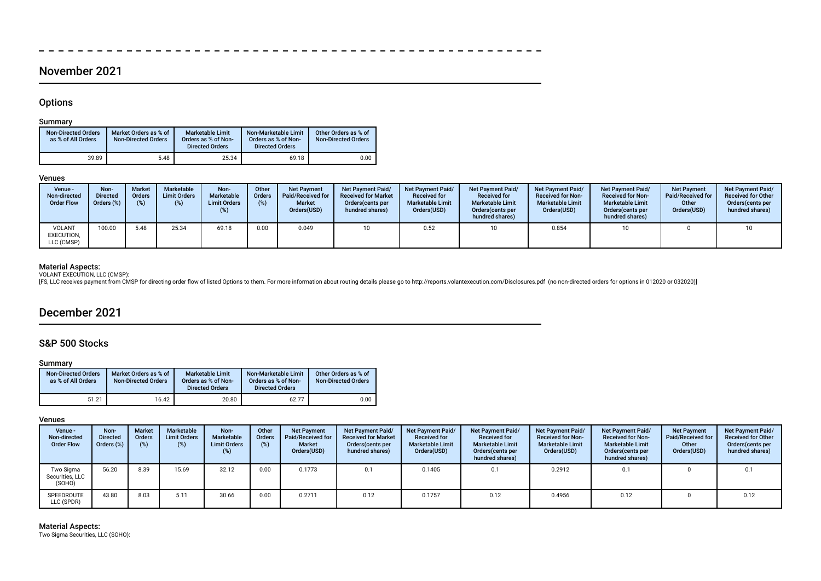# November 2021

# **Options**

### Summary

| <b>Non-Directed Orders</b><br>as % of All Orders | Market Orders as % of<br><b>Non-Directed Orders</b> | <b>Marketable Limit</b><br>Orders as % of Non-<br><b>Directed Orders</b> | Non-Marketable Limit<br>Orders as % of Non-<br><b>Directed Orders</b> | Other Orders as % of<br><b>Non-Directed Orders</b> |
|--------------------------------------------------|-----------------------------------------------------|--------------------------------------------------------------------------|-----------------------------------------------------------------------|----------------------------------------------------|
| 39.89                                            | 5.48                                                | 25.34                                                                    | 69.18                                                                 | 0.00                                               |

### Venues

| Venue -<br>Non-directed<br><b>Order Flow</b> | Non-<br><b>Directed</b><br>Orders (%) | <b>Market</b><br><b>Orders</b><br>(%) | <b>Marketable</b><br><b>Limit Orders</b><br>(%) | Non-<br>Marketable<br><b>Limit Orders</b><br>(%) | Other<br>Orders<br>(%) | <b>Net Payment</b><br>Paid/Received for<br><b>Market</b><br>Orders(USD) | <b>Net Payment Paid/</b><br><b>Received for Market</b><br>Orders (cents per<br>hundred shares) | <b>Net Payment Paid/</b><br><b>Received for</b><br><b>Marketable Limit</b><br>Orders(USD) | <b>Net Payment Paid/</b><br><b>Received for</b><br><b>Marketable Limit</b><br>Orders (cents per<br>hundred shares) | <b>Net Payment Paid/</b><br><b>Received for Non-</b><br><b>Marketable Limit</b><br>Orders(USD) | Net Payment Paid/<br><b>Received for Non-</b><br><b>Marketable Limit</b><br>Orders (cents per<br>hundred shares) | <b>Net Payment</b><br>Paid/Received for<br>Other<br>Orders(USD) | <b>Net Payment Paid/</b><br><b>Received for Other</b><br>Orders(cents per<br>hundred shares) |
|----------------------------------------------|---------------------------------------|---------------------------------------|-------------------------------------------------|--------------------------------------------------|------------------------|-------------------------------------------------------------------------|------------------------------------------------------------------------------------------------|-------------------------------------------------------------------------------------------|--------------------------------------------------------------------------------------------------------------------|------------------------------------------------------------------------------------------------|------------------------------------------------------------------------------------------------------------------|-----------------------------------------------------------------|----------------------------------------------------------------------------------------------|
| <b>VOLANT</b><br>EXECUTION,<br>LLC (CMSP)    | 100.00                                | 5.48                                  | 25.34                                           | 69.18                                            | 0.00                   | 0.049                                                                   |                                                                                                | 0.52                                                                                      |                                                                                                                    | 0.854                                                                                          |                                                                                                                  |                                                                 | 10                                                                                           |

 $\overline{\phantom{a}}$ 

 $\frac{1}{2}$  =  $\frac{1}{2}$  =  $\frac{1}{2}$  =  $\frac{1}{2}$ 

 $\equiv$ 

 $-$ 

**Material Aspects:**<br>VOLANT EXECUTION, LLC (CMSP):<br>[FS, LLC receives payment from CMSP for directing order flow of listed Options to them. For more information about routing details please go to http://reports.volantexecuti

# December 2021

## S&P 500 Stocks

### Summary

| <b>Non-Directed Orders</b><br>as % of All Orders | Market Orders as % of<br><b>Non-Directed Orders</b> | <b>Marketable Limit</b><br>Orders as % of Non-<br><b>Directed Orders</b> | Non-Marketable Limit<br>Orders as % of Non-<br><b>Directed Orders</b> | Other Orders as % of<br><b>Non-Directed Orders</b> |  |  |
|--------------------------------------------------|-----------------------------------------------------|--------------------------------------------------------------------------|-----------------------------------------------------------------------|----------------------------------------------------|--|--|
| 51.21                                            | 16.42                                               | 20.80                                                                    | 62.77                                                                 | 0.00                                               |  |  |

### Venues

| Venue -<br>Non-directed<br><b>Order Flow</b> | Non-<br><b>Directed</b><br>Orders (%) | <b>Market</b><br><b>Orders</b><br>(%) | Marketable<br><b>Limit Orders</b><br>(%) | Non-<br>Marketable<br><b>Limit Orders</b> | Other<br><b>Orders</b> | <b>Net Payment</b><br>Paid/Received for<br><b>Market</b><br>Orders(USD) | <b>Net Payment Paid/</b><br><b>Received for Market</b><br>Orders (cents per<br>hundred shares) | <b>Net Payment Paid/</b><br><b>Received for</b><br><b>Marketable Limit</b><br>Orders(USD) | Net Payment Paid/<br><b>Received for</b><br><b>Marketable Limit</b><br>Orders (cents per<br>hundred shares) | Net Payment Paid/<br><b>Received for Non-</b><br><b>Marketable Limit</b><br>Orders(USD) | <b>Net Payment Paid/</b><br><b>Received for Non-</b><br><b>Marketable Limit</b><br>Orders(cents per<br>hundred shares) | <b>Net Payment</b><br>Paid/Received for<br>Other<br>Orders(USD) | <b>Net Payment Paid/</b><br><b>Received for Other</b><br>Orders (cents per<br>hundred shares) |
|----------------------------------------------|---------------------------------------|---------------------------------------|------------------------------------------|-------------------------------------------|------------------------|-------------------------------------------------------------------------|------------------------------------------------------------------------------------------------|-------------------------------------------------------------------------------------------|-------------------------------------------------------------------------------------------------------------|-----------------------------------------------------------------------------------------|------------------------------------------------------------------------------------------------------------------------|-----------------------------------------------------------------|-----------------------------------------------------------------------------------------------|
| Two Sigma<br>Securities, LLC<br>(SOHO)       | 56.20                                 | 8.39                                  | 15.69                                    | 32.12                                     | 0.00                   | 0.1773                                                                  | 0.1                                                                                            | 0.1405                                                                                    | 0.1                                                                                                         | 0.2912                                                                                  | 0.1                                                                                                                    |                                                                 | 0.1                                                                                           |
| SPEEDROUTE<br>LLC (SPDR)                     | 43.80                                 | 8.03                                  | 5.11                                     | 30.66                                     | 0.00                   | 0.2711                                                                  | 0.12                                                                                           | 0.1757                                                                                    | 0.12                                                                                                        | 0.4956                                                                                  | 0.12                                                                                                                   |                                                                 | 0.12                                                                                          |

Material Aspects: Two Sigma Securities, LLC (SOHO):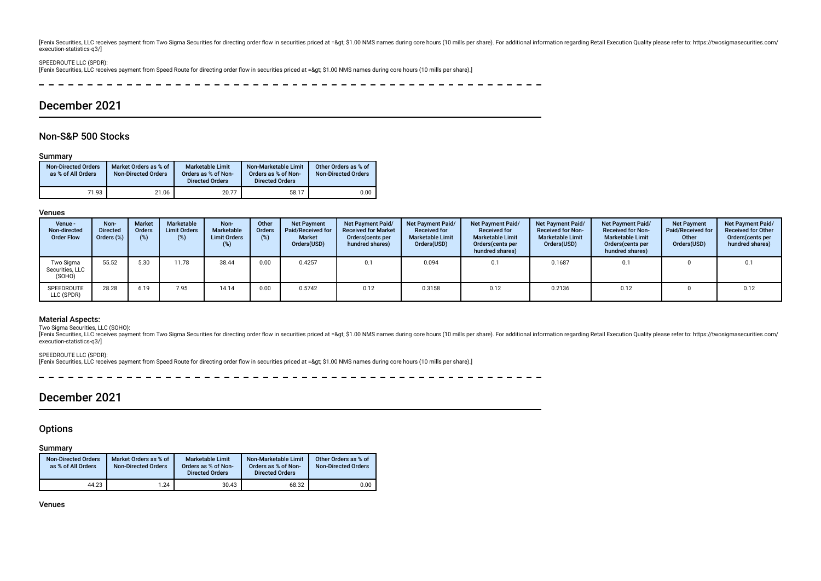[Fenix Securities, LLC receives payment from Two Sigma Securities for directing order flow in securities priced at =&qt; \$1.00 NMS names during core hours (10 mills per share). For additional information regarding Retail E execution-statistics-q3/]

SPEEDROUTE LLC (SPDR): [Fenix Securities, LLC receives payment from Speed Route for directing order fow in securities priced at => \$1.00 NMS names during core hours (10 mills per share).]

# December 2021

### Non-S&P 500 Stocks

#### Summary

| <b>Non-Directed Orders</b><br>as % of All Orders | Market Orders as % of<br><b>Non-Directed Orders</b> | Marketable Limit<br>Orders as % of Non-<br><b>Directed Orders</b> | Non-Marketable Limit<br>Orders as % of Non-<br><b>Directed Orders</b> | Other Orders as % of<br><b>Non-Directed Orders</b> |  |  |
|--------------------------------------------------|-----------------------------------------------------|-------------------------------------------------------------------|-----------------------------------------------------------------------|----------------------------------------------------|--|--|
| 71.93                                            | 21.06                                               | 20.77                                                             | 58.17                                                                 | 0.00                                               |  |  |

#### Venues

| Venue -<br>Non-directed<br><b>Order Flow</b> | Non-<br><b>Directed</b><br>Orders $(\%)$ | <b>Market</b><br>Orders<br>(%) | <b>Marketable</b><br><b>Limit Orders</b><br>(%) | Non-<br><b>Marketable</b><br><b>Limit Orders</b><br>(%) | Other<br><b>Orders</b> | <b>Net Payment</b><br>Paid/Received for<br><b>Market</b><br>Orders(USD) | <b>Net Payment Paid/</b><br><b>Received for Market</b><br>Orders (cents per<br>hundred shares) | Net Payment Paid/<br><b>Received for</b><br><b>Marketable Limit</b><br>Orders(USD) | Net Payment Paid/<br><b>Received for</b><br><b>Marketable Limit</b><br>Orders (cents per<br>hundred shares) | Net Payment Paid/<br><b>Received for Non-</b><br><b>Marketable Limit</b><br>Orders(USD) | <b>Net Payment Paid/</b><br><b>Received for Non-</b><br><b>Marketable Limit</b><br>Orders(cents per<br>hundred shares) | <b>Net Payment</b><br>Paid/Received for<br>Other<br>Orders(USD) | <b>Net Payment Paid/</b><br><b>Received for Other</b><br>Orders (cents per<br>hundred shares) |
|----------------------------------------------|------------------------------------------|--------------------------------|-------------------------------------------------|---------------------------------------------------------|------------------------|-------------------------------------------------------------------------|------------------------------------------------------------------------------------------------|------------------------------------------------------------------------------------|-------------------------------------------------------------------------------------------------------------|-----------------------------------------------------------------------------------------|------------------------------------------------------------------------------------------------------------------------|-----------------------------------------------------------------|-----------------------------------------------------------------------------------------------|
| Two Sigma<br>Securities, LLC<br>(SOHO)       | 55.52                                    | 5.30                           | 11.78                                           | 38.44                                                   | 0.00                   | 0.4257                                                                  | 0.1                                                                                            | 0.094                                                                              |                                                                                                             | 0.1687                                                                                  | 0.1                                                                                                                    |                                                                 | 0.1                                                                                           |
| SPEEDROUTE<br>LLC (SPDR)                     | 28.28                                    | 6.19                           | 7.95                                            | 14.14                                                   | 0.00                   | 0.5742                                                                  | 0.12                                                                                           | 0.3158                                                                             | 0.12                                                                                                        | 0.2136                                                                                  | 0.12                                                                                                                   |                                                                 | 0.12                                                                                          |

#### Material Aspects:

Two Sigma Securities, LLC (SOHO):

Frenix Securities. LLC receives payment from Two Sigma Securities for directing order flow in securities priced at =&gt: \$1.00 NMS names during core hours (10 mills per share). For additional information regarding Retail E execution-statistics-q3/]

#### SPEEDROUTE LLC (SPDR):

[Fenix Securities, LLC receives payment from Speed Route for directing order flow in securities priced at =&qt; \$1.00 NMS names during core hours (10 mills per share).]

----------------------------------------------

# December 2021

### **Options**

### Summary

| <b>Non-Directed Orders</b><br>as % of All Orders | Market Orders as % of<br><b>Non-Directed Orders</b> | <b>Marketable Limit</b><br>Orders as % of Non-<br><b>Directed Orders</b> | Non-Marketable Limit<br>Orders as % of Non-<br><b>Directed Orders</b> | Other Orders as % of<br><b>Non-Directed Orders</b> |  |  |
|--------------------------------------------------|-----------------------------------------------------|--------------------------------------------------------------------------|-----------------------------------------------------------------------|----------------------------------------------------|--|--|
| 44.23                                            | 1,24                                                | 30.43                                                                    | 68.32                                                                 | 0.00                                               |  |  |

Venues